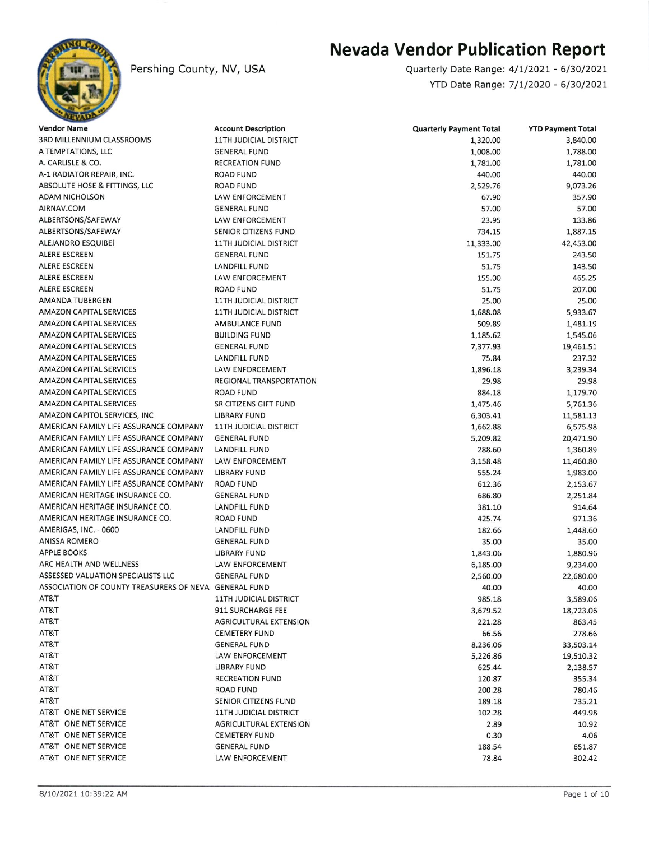

Pershing County, NV, USA

## Nevada Vendor Publication Report

Quarterly Date Range: 4/L/2021 - 6/30/2021 YTD Date Range: 7/1/2020 - 6/30/2021

| <b>Vendor Name</b>                                    | <b>Account Description</b>    | <b>Quarterly Payment Total</b> | <b>YTD Payment Total</b> |
|-------------------------------------------------------|-------------------------------|--------------------------------|--------------------------|
| 3RD MILLENNIUM CLASSROOMS                             | <b>11TH JUDICIAL DISTRICT</b> | 1,320.00                       | 3,840.00                 |
| A TEMPTATIONS, LLC                                    | <b>GENERAL FUND</b>           | 1,008.00                       | 1,788.00                 |
| A. CARLISLE & CO.                                     | <b>RECREATION FUND</b>        | 1,781.00                       | 1,781.00                 |
| A-1 RADIATOR REPAIR, INC.                             | <b>ROAD FUND</b>              | 440.00                         | 440.00                   |
| ABSOLUTE HOSE & FITTINGS, LLC                         | <b>ROAD FUND</b>              | 2,529.76                       | 9,073.26                 |
| <b>ADAM NICHOLSON</b>                                 | LAW ENFORCEMENT               | 67.90                          | 357.90                   |
| AIRNAV.COM                                            | <b>GENERAL FUND</b>           | 57.00                          | 57.00                    |
| ALBERTSONS/SAFEWAY                                    | LAW ENFORCEMENT               | 23.95                          | 133.86                   |
| ALBERTSONS/SAFEWAY                                    | SENIOR CITIZENS FUND          | 734.15                         | 1,887.15                 |
| ALEJANDRO ESQUIBEI                                    | <b>11TH JUDICIAL DISTRICT</b> | 11,333.00                      | 42,453.00                |
| ALERE ESCREEN                                         | <b>GENERAL FUND</b>           | 151.75                         | 243.50                   |
| ALERE ESCREEN                                         | LANDFILL FUND                 | 51.75                          | 143.50                   |
| ALERE ESCREEN                                         | LAW ENFORCEMENT               | 155.00                         | 465.25                   |
| ALERE ESCREEN                                         | <b>ROAD FUND</b>              | 51.75                          | 207.00                   |
| AMANDA TUBERGEN                                       | <b>11TH JUDICIAL DISTRICT</b> | 25.00                          | 25.00                    |
| <b>AMAZON CAPITAL SERVICES</b>                        | <b>11TH JUDICIAL DISTRICT</b> | 1,688.08                       | 5,933.67                 |
| <b>AMAZON CAPITAL SERVICES</b>                        | <b>AMBULANCE FUND</b>         | 509.89                         | 1,481.19                 |
| <b>AMAZON CAPITAL SERVICES</b>                        | <b>BUILDING FUND</b>          | 1,185.62                       | 1,545.06                 |
| AMAZON CAPITAL SERVICES                               | <b>GENERAL FUND</b>           | 7,377.93                       | 19,461.51                |
| <b>AMAZON CAPITAL SERVICES</b>                        | LANDFILL FUND                 | 75.84                          | 237.32                   |
| <b>AMAZON CAPITAL SERVICES</b>                        | <b>LAW ENFORCEMENT</b>        |                                | 3,239.34                 |
| <b>AMAZON CAPITAL SERVICES</b>                        | REGIONAL TRANSPORTATION       | 1,896.18<br>29.98              | 29.98                    |
| <b>AMAZON CAPITAL SERVICES</b>                        |                               |                                |                          |
|                                                       | <b>ROAD FUND</b>              | 884.18                         | 1,179.70                 |
| AMAZON CAPITAL SERVICES                               | SR CITIZENS GIFT FUND         | 1,475.46                       | 5,761.36                 |
| AMAZON CAPITOL SERVICES, INC                          | <b>LIBRARY FUND</b>           | 6,303.41                       | 11,581.13                |
| AMERICAN FAMILY LIFE ASSURANCE COMPANY                | <b>11TH JUDICIAL DISTRICT</b> | 1,662.88                       | 6,575.98                 |
| AMERICAN FAMILY LIFE ASSURANCE COMPANY                | <b>GENERAL FUND</b>           | 5,209.82                       | 20,471.90                |
| AMERICAN FAMILY LIFE ASSURANCE COMPANY                | LANDFILL FUND                 | 288.60                         | 1,360.89                 |
| AMERICAN FAMILY LIFE ASSURANCE COMPANY                | LAW ENFORCEMENT               | 3,158.48                       | 11,460.80                |
| AMERICAN FAMILY LIFE ASSURANCE COMPANY                | <b>LIBRARY FUND</b>           | 555.24                         | 1,983.00                 |
| AMERICAN FAMILY LIFE ASSURANCE COMPANY                | <b>ROAD FUND</b>              | 612.36                         | 2,153.67                 |
| AMERICAN HERITAGE INSURANCE CO.                       | <b>GENERAL FUND</b>           | 686.80                         | 2,251.84                 |
| AMERICAN HERITAGE INSURANCE CO.                       | LANDFILL FUND                 | 381.10                         | 914.64                   |
| AMERICAN HERITAGE INSURANCE CO.                       | ROAD FUND                     | 425.74                         | 971.36                   |
| AMERIGAS, INC. - 0600                                 | LANDFILL FUND                 | 182.66                         | 1,448.60                 |
| <b>ANISSA ROMERO</b>                                  | <b>GENERAL FUND</b>           | 35.00                          | 35.00                    |
| <b>APPLE BOOKS</b>                                    | <b>LIBRARY FUND</b>           | 1,843.06                       | 1,880.96                 |
| ARC HEALTH AND WELLNESS                               | LAW ENFORCEMENT               | 6,185.00                       | 9,234.00                 |
| ASSESSED VALUATION SPECIALISTS LLC                    | <b>GENERAL FUND</b>           | 2,560.00                       | 22,680.00                |
| ASSOCIATION OF COUNTY TREASURERS OF NEVA GENERAL FUND |                               | 40.00                          | 40.00                    |
| AT&T                                                  | 11TH JUDICIAL DISTRICT        | 985.18                         | 3,589.06                 |
| AT&T                                                  | 911 SURCHARGE FEE             | 3,679.52                       | 18,723.06                |
| AT&T                                                  | AGRICULTURAL EXTENSION        | 221.28                         | 863.45                   |
| AT&T                                                  | <b>CEMETERY FUND</b>          | 66.56                          | 278.66                   |
| AT&T                                                  | <b>GENERAL FUND</b>           | 8,236.06                       | 33,503.14                |
| AT&T                                                  | LAW ENFORCEMENT               | 5,226.86                       | 19,510.32                |
| AT&T                                                  | LIBRARY FUND                  | 625.44                         | 2,138.57                 |
| AT&T                                                  | <b>RECREATION FUND</b>        | 120.87                         | 355.34                   |
| AT&T                                                  | <b>ROAD FUND</b>              | 200.28                         | 780.46                   |
| AT&T                                                  | SENIOR CITIZENS FUND          | 189.18                         | 735.21                   |
| AT&T ONE NET SERVICE                                  | <b>11TH JUDICIAL DISTRICT</b> | 102.28                         | 449.98                   |
| AT&T ONE NET SERVICE                                  | AGRICULTURAL EXTENSION        | 2.89                           | 10.92                    |
| AT&T ONE NET SERVICE                                  | <b>CEMETERY FUND</b>          | 0.30                           | 4.06                     |
| AT&T ONE NET SERVICE                                  | <b>GENERAL FUND</b>           | 188.54                         | 651.87                   |
| AT&T ONE NET SERVICE                                  | LAW ENFORCEMENT               | 78.84                          | 302.42                   |